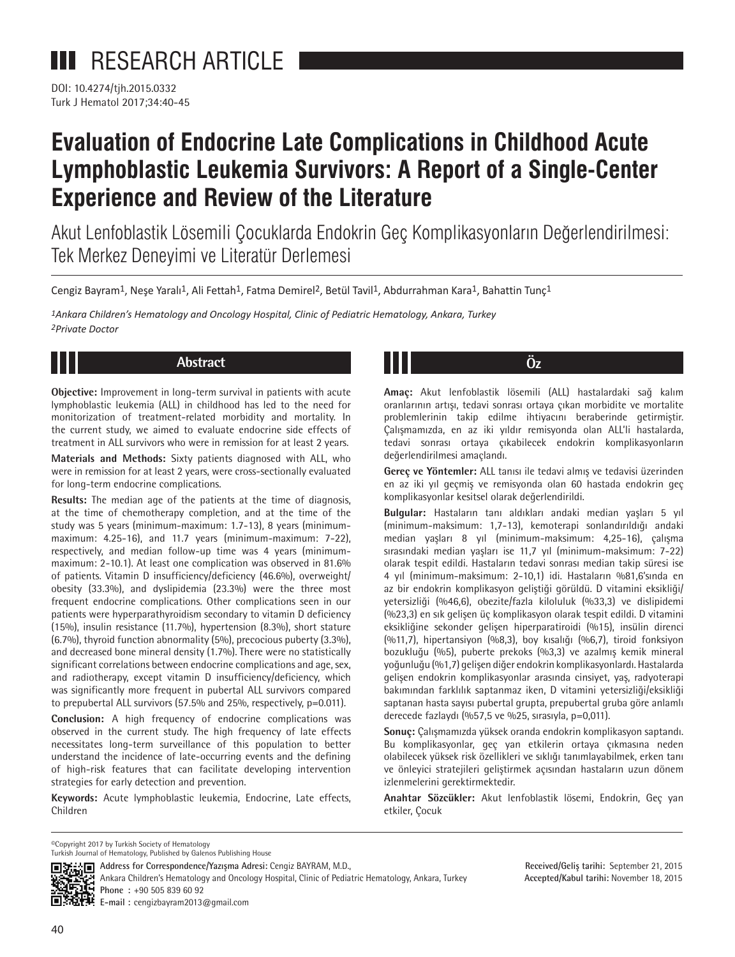DOI: 10.4274/tjh.2015.0332 Turk J Hematol 2017;34:40-45

# **Evaluation of Endocrine Late Complications in Childhood Acute Lymphoblastic Leukemia Survivors: A Report of a Single-Center Experience and Review of the Literature**

Akut Lenfoblastik Lösemili Çocuklarda Endokrin Geç Komplikasyonların Değerlendirilmesi: Tek Merkez Deneyimi ve Literatür Derlemesi

Cengiz Bayram<sup>1</sup>, Nese Yaralı<sup>1</sup>, Ali Fettah<sup>1</sup>, Fatma Demirel<sup>2</sup>, Betül Tavil<sup>1</sup>, Abdurrahman Kara<sup>1</sup>, Bahattin Tunc<sup>1</sup>

*1Ankara Children's Hematology and Oncology Hospital, Clinic of Pediatric Hematology, Ankara, Turkey 2Private Doctor*

# **Abstract Öz**

**Objective:** Improvement in long-term survival in patients with acute lymphoblastic leukemia (ALL) in childhood has led to the need for monitorization of treatment-related morbidity and mortality. In the current study, we aimed to evaluate endocrine side effects of treatment in ALL survivors who were in remission for at least 2 years.

**Materials and Methods:** Sixty patients diagnosed with ALL, who were in remission for at least 2 years, were cross-sectionally evaluated for long-term endocrine complications.

**Results:** The median age of the patients at the time of diagnosis, at the time of chemotherapy completion, and at the time of the study was 5 years (minimum-maximum: 1.7-13), 8 years (minimummaximum: 4.25-16), and 11.7 years (minimum-maximum: 7-22), respectively, and median follow-up time was 4 years (minimummaximum: 2-10.1). At least one complication was observed in 81.6% of patients. Vitamin D insufficiency/deficiency (46.6%), overweight/ obesity (33.3%), and dyslipidemia (23.3%) were the three most frequent endocrine complications. Other complications seen in our patients were hyperparathyroidism secondary to vitamin D deficiency (15%), insulin resistance (11.7%), hypertension (8.3%), short stature (6.7%), thyroid function abnormality (5%), precocious puberty (3.3%), and decreased bone mineral density (1.7%). There were no statistically significant correlations between endocrine complications and age, sex, and radiotherapy, except vitamin D insufficiency/deficiency, which was significantly more frequent in pubertal ALL survivors compared to prepubertal ALL survivors (57.5% and 25%, respectively, p=0.011).

**Conclusion:** A high frequency of endocrine complications was observed in the current study. The high frequency of late effects necessitates long-term surveillance of this population to better understand the incidence of late-occurring events and the defining of high-risk features that can facilitate developing intervention strategies for early detection and prevention.

**Keywords:** Acute lymphoblastic leukemia, Endocrine, Late effects, Children

**Amaç:** Akut lenfoblastik lösemili (ALL) hastalardaki sağ kalım oranlarının artışı, tedavi sonrası ortaya çıkan morbidite ve mortalite problemlerinin takip edilme ihtiyacını beraberinde getirmiştir. Çalışmamızda, en az iki yıldır remisyonda olan ALL'li hastalarda, tedavi sonrası ortaya çıkabilecek endokrin komplikasyonların değerlendirilmesi amaçlandı.

**Gereç ve Yöntemler:** ALL tanısı ile tedavi almış ve tedavisi üzerinden en az iki yıl geçmiş ve remisyonda olan 60 hastada endokrin geç komplikasyonlar kesitsel olarak değerlendirildi.

**Bulgular:** Hastaların tanı aldıkları andaki median yaşları 5 yıl (minimum-maksimum: 1,7-13), kemoterapi sonlandırıldığı andaki median yaşları 8 yıl (minimum-maksimum: 4,25-16), çalışma sırasındaki median yaşları ise 11,7 yıl (minimum-maksimum: 7-22) olarak tespit edildi. Hastaların tedavi sonrası median takip süresi ise 4 yıl (minimum-maksimum: 2-10,1) idi. Hastaların %81,6'sında en az bir endokrin komplikasyon geliştiği görüldü. D vitamini eksikliği/ yetersizliği (%46,6), obezite/fazla kiloluluk (%33,3) ve dislipidemi (%23,3) en sık gelişen üç komplikasyon olarak tespit edildi. D vitamini eksikliğine sekonder gelişen hiperparatiroidi (%15), insülin direnci (%11,7), hipertansiyon (%8,3), boy kısalığı (%6,7), tiroid fonksiyon bozukluğu (%5), puberte prekoks (%3,3) ve azalmış kemik mineral yoğunluğu (%1,7) gelişen diğer endokrin komplikasyonlardı. Hastalarda gelişen endokrin komplikasyonlar arasında cinsiyet, yaş, radyoterapi bakımından farklılık saptanmaz iken, D vitamini yetersizliği/eksikliği saptanan hasta sayısı pubertal grupta, prepubertal gruba göre anlamlı derecede fazlaydı (%57,5 ve %25, sırasıyla, p=0,011).

**Sonuç:** Çalışmamızda yüksek oranda endokrin komplikasyon saptandı. Bu komplikasyonlar, geç yan etkilerin ortaya çıkmasına neden olabilecek yüksek risk özellikleri ve sıklığı tanımlayabilmek, erken tanı ve önleyici stratejileri geliştirmek açısından hastaların uzun dönem izlenmelerini gerektirmektedir.

**Anahtar Sözcükler:** Akut lenfoblastik lösemi, Endokrin, Geç yan etkiler, Çocuk

©Copyright 2017 by Turkish Society of Hematology Turkish Journal of Hematology, Published by Galenos Publishing House



**Address for Correspondence/Yazışma Adresi:** Cengiz BAYRAM, M.D., Ankara Children's Hematology and Oncology Hospital, Clinic of Pediatric Hematology, Ankara, Turkey **Phone :** +90 505 839 60 92

**Received/Geliş tarihi:** September 21, 2015 **Accepted/Kabul tarihi:** November 18, 2015

**E-mail :** cengizbayram2013@gmail.com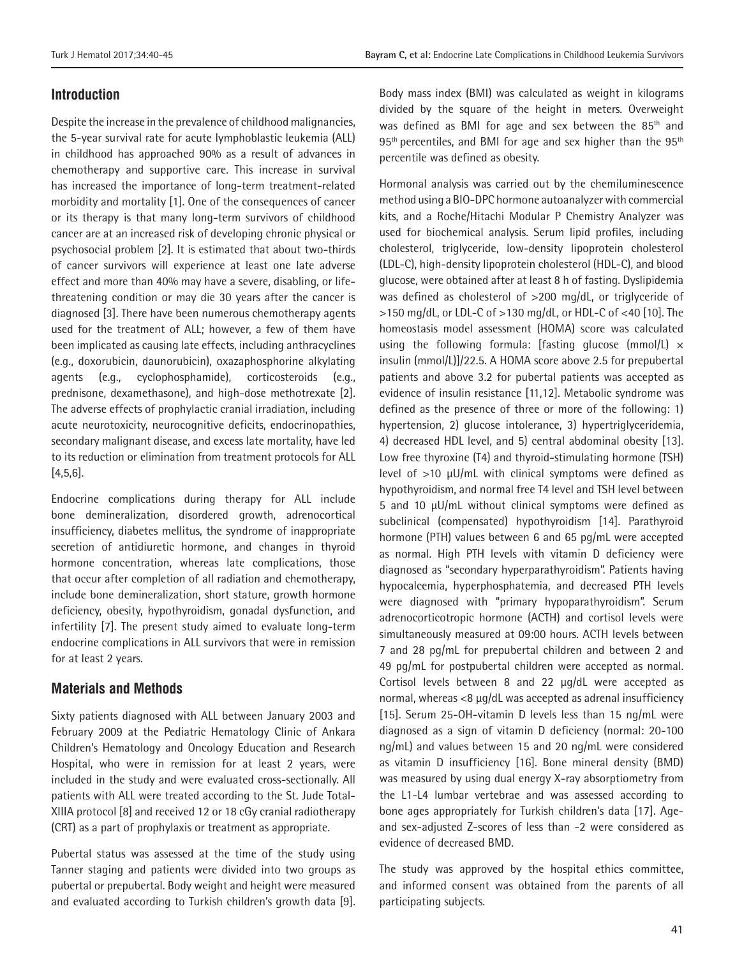# **Introduction**

Despite the increase in the prevalence of childhood malignancies, the 5-year survival rate for acute lymphoblastic leukemia (ALL) in childhood has approached 90% as a result of advances in chemotherapy and supportive care. This increase in survival has increased the importance of long-term treatment-related morbidity and mortality [1]. One of the consequences of cancer or its therapy is that many long-term survivors of childhood cancer are at an increased risk of developing chronic physical or psychosocial problem [2]. It is estimated that about two-thirds of cancer survivors will experience at least one late adverse effect and more than 40% may have a severe, disabling, or lifethreatening condition or may die 30 years after the cancer is diagnosed [3]. There have been numerous chemotherapy agents used for the treatment of ALL; however, a few of them have been implicated as causing late effects, including anthracyclines (e.g., doxorubicin, daunorubicin), oxazaphosphorine alkylating agents (e.g., cyclophosphamide), corticosteroids (e.g., prednisone, dexamethasone), and high-dose methotrexate [2]. The adverse effects of prophylactic cranial irradiation, including acute neurotoxicity, neurocognitive deficits, endocrinopathies, secondary malignant disease, and excess late mortality, have led to its reduction or elimination from treatment protocols for ALL [4,5,6].

Endocrine complications during therapy for ALL include bone demineralization, disordered growth, adrenocortical insufficiency, diabetes mellitus, the syndrome of inappropriate secretion of antidiuretic hormone, and changes in thyroid hormone concentration, whereas late complications, those that occur after completion of all radiation and chemotherapy, include bone demineralization, short stature, growth hormone deficiency, obesity, hypothyroidism, gonadal dysfunction, and infertility [7]. The present study aimed to evaluate long-term endocrine complications in ALL survivors that were in remission for at least 2 years.

### **Materials and Methods**

Sixty patients diagnosed with ALL between January 2003 and February 2009 at the Pediatric Hematology Clinic of Ankara Children's Hematology and Oncology Education and Research Hospital, who were in remission for at least 2 years, were included in the study and were evaluated cross-sectionally. All patients with ALL were treated according to the St. Jude Total-XIIIA protocol [8] and received 12 or 18 cGy cranial radiotherapy (CRT) as a part of prophylaxis or treatment as appropriate.

Pubertal status was assessed at the time of the study using Tanner staging and patients were divided into two groups as pubertal or prepubertal. Body weight and height were measured and evaluated according to Turkish children's growth data [9].

Body mass index (BMI) was calculated as weight in kilograms divided by the square of the height in meters. Overweight was defined as BMI for age and sex between the 85<sup>th</sup> and  $95<sup>th</sup>$  percentiles, and BMI for age and sex higher than the  $95<sup>th</sup>$ percentile was defined as obesity.

Hormonal analysis was carried out by the chemiluminescence method using a BIO-DPC hormone autoanalyzer with commercial kits, and a Roche/Hitachi Modular P Chemistry Analyzer was used for biochemical analysis. Serum lipid profiles, including cholesterol, triglyceride, low-density lipoprotein cholesterol (LDL-C), high-density lipoprotein cholesterol (HDL-C), and blood glucose, were obtained after at least 8 h of fasting. Dyslipidemia was defined as cholesterol of >200 mg/dL, or triglyceride of >150 mg/dL, or LDL-C of >130 mg/dL, or HDL-C of <40 [10]. The homeostasis model assessment (HOMA) score was calculated using the following formula: [fasting glucose  $(mmol/L) \times$ insulin (mmol/L)]/22.5. A HOMA score above 2.5 for prepubertal patients and above 3.2 for pubertal patients was accepted as evidence of insulin resistance [11,12]. Metabolic syndrome was defined as the presence of three or more of the following: 1) hypertension, 2) glucose intolerance, 3) hypertriglyceridemia, 4) decreased HDL level, and 5) central abdominal obesity [13]. Low free thyroxine (T4) and thyroid-stimulating hormone (TSH) level of >10 µU/mL with clinical symptoms were defined as hypothyroidism, and normal free T4 level and TSH level between 5 and 10 µU/mL without clinical symptoms were defined as subclinical (compensated) hypothyroidism [14]. Parathyroid hormone (PTH) values between 6 and 65 pg/mL were accepted as normal. High PTH levels with vitamin D deficiency were diagnosed as "secondary hyperparathyroidism". Patients having hypocalcemia, hyperphosphatemia, and decreased PTH levels were diagnosed with "primary hypoparathyroidism". Serum adrenocorticotropic hormone (ACTH) and cortisol levels were simultaneously measured at 09:00 hours. ACTH levels between 7 and 28 pg/mL for prepubertal children and between 2 and 49 pg/mL for postpubertal children were accepted as normal. Cortisol levels between 8 and 22 µg/dL were accepted as normal, whereas <8 µg/dL was accepted as adrenal insufficiency [15]. Serum 25-OH-vitamin D levels less than 15 ng/mL were diagnosed as a sign of vitamin D deficiency (normal: 20-100 ng/mL) and values between 15 and 20 ng/mL were considered as vitamin D insufficiency [16]. Bone mineral density (BMD) was measured by using dual energy X-ray absorptiometry from the L1-L4 lumbar vertebrae and was assessed according to bone ages appropriately for Turkish children's data [17]. Ageand sex-adjusted Z-scores of less than -2 were considered as evidence of decreased BMD.

The study was approved by the hospital ethics committee, and informed consent was obtained from the parents of all participating subjects.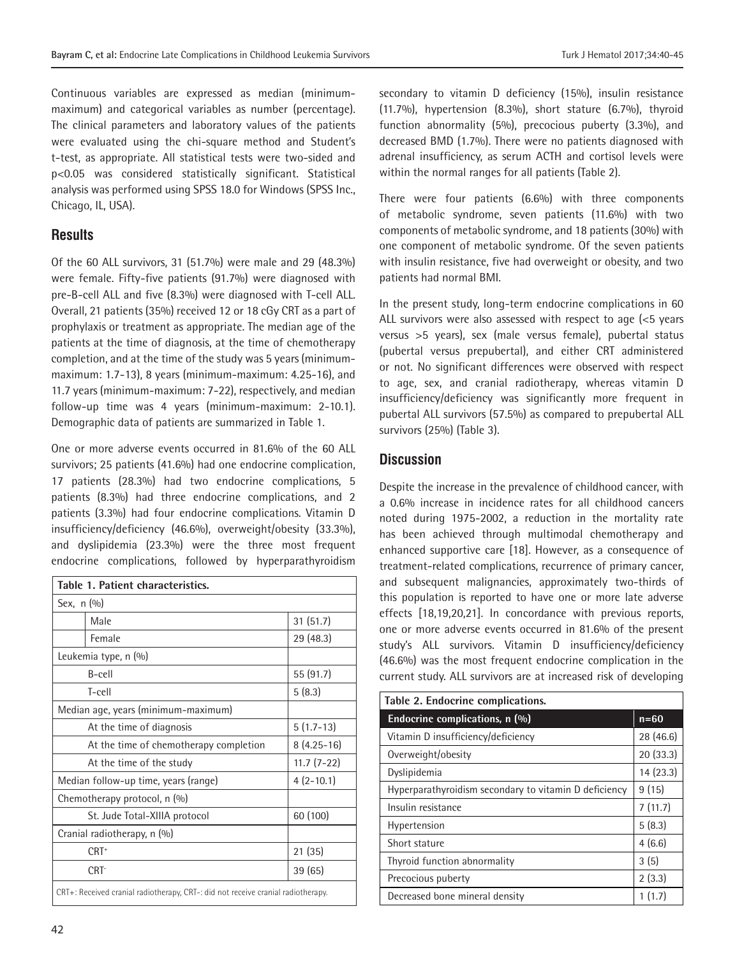Continuous variables are expressed as median (minimummaximum) and categorical variables as number (percentage). The clinical parameters and laboratory values of the patients were evaluated using the chi-square method and Student's t-test, as appropriate. All statistical tests were two-sided and p<0.05 was considered statistically significant. Statistical analysis was performed using SPSS 18.0 for Windows (SPSS Inc., Chicago, IL, USA).

## **Results**

Of the 60 ALL survivors, 31 (51.7%) were male and 29 (48.3%) were female. Fifty-five patients (91.7%) were diagnosed with pre-B-cell ALL and five (8.3%) were diagnosed with T-cell ALL. Overall, 21 patients (35%) received 12 or 18 cGy CRT as a part of prophylaxis or treatment as appropriate. The median age of the patients at the time of diagnosis, at the time of chemotherapy completion, and at the time of the study was 5 years (minimummaximum: 1.7-13), 8 years (minimum-maximum: 4.25-16), and 11.7 years (minimum-maximum: 7-22), respectively, and median follow-up time was 4 years (minimum-maximum: 2-10.1). Demographic data of patients are summarized in Table 1.

One or more adverse events occurred in 81.6% of the 60 ALL survivors; 25 patients (41.6%) had one endocrine complication, 17 patients (28.3%) had two endocrine complications, 5 patients (8.3%) had three endocrine complications, and 2 patients (3.3%) had four endocrine complications. Vitamin D insufficiency/deficiency (46.6%), overweight/obesity (33.3%), and dyslipidemia (23.3%) were the three most frequent endocrine complications, followed by hyperparathyroidism

| Table 1. Patient characteristics.                                                |              |  |  |  |
|----------------------------------------------------------------------------------|--------------|--|--|--|
| Sex, $n(\%)$                                                                     |              |  |  |  |
| Male                                                                             | 31(51.7)     |  |  |  |
| Female                                                                           | 29 (48.3)    |  |  |  |
| Leukemia type, n (%)                                                             |              |  |  |  |
| B-cell                                                                           | 55 (91.7)    |  |  |  |
| T-cell                                                                           | 5(8.3)       |  |  |  |
| Median age, years (minimum-maximum)                                              |              |  |  |  |
| At the time of diagnosis                                                         | $5(1.7-13)$  |  |  |  |
| At the time of chemotherapy completion                                           | $8(4.25-16)$ |  |  |  |
| At the time of the study                                                         | $11.7(7-22)$ |  |  |  |
| Median follow-up time, years (range)                                             | $4(2-10.1)$  |  |  |  |
| Chemotherapy protocol, n (%)                                                     |              |  |  |  |
| St. Jude Total-XIIIA protocol                                                    | 60 (100)     |  |  |  |
| Cranial radiotherapy, n (%)                                                      |              |  |  |  |
| $CRT+$                                                                           | 21 (35)      |  |  |  |
| CRT-                                                                             | 39 (65)      |  |  |  |
| CRT+: Received cranial radiotherapy, CRT-: did not receive cranial radiotherapy. |              |  |  |  |

secondary to vitamin D deficiency (15%), insulin resistance (11.7%), hypertension (8.3%), short stature (6.7%), thyroid function abnormality (5%), precocious puberty (3.3%), and decreased BMD (1.7%). There were no patients diagnosed with adrenal insufficiency, as serum ACTH and cortisol levels were within the normal ranges for all patients (Table 2).

There were four patients (6.6%) with three components of metabolic syndrome, seven patients (11.6%) with two components of metabolic syndrome, and 18 patients (30%) with one component of metabolic syndrome. Of the seven patients with insulin resistance, five had overweight or obesity, and two patients had normal BMI.

In the present study, long-term endocrine complications in 60 ALL survivors were also assessed with respect to age (<5 years versus >5 years), sex (male versus female), pubertal status (pubertal versus prepubertal), and either CRT administered or not. No significant differences were observed with respect to age, sex, and cranial radiotherapy, whereas vitamin D insufficiency/deficiency was significantly more frequent in pubertal ALL survivors (57.5%) as compared to prepubertal ALL survivors (25%) (Table 3).

# **Discussion**

Despite the increase in the prevalence of childhood cancer, with a 0.6% increase in incidence rates for all childhood cancers noted during 1975-2002, a reduction in the mortality rate has been achieved through multimodal chemotherapy and enhanced supportive care [18]. However, as a consequence of treatment-related complications, recurrence of primary cancer, and subsequent malignancies, approximately two-thirds of this population is reported to have one or more late adverse effects [18,19,20,21]. In concordance with previous reports, one or more adverse events occurred in 81.6% of the present study's ALL survivors. Vitamin D insufficiency/deficiency (46.6%) was the most frequent endocrine complication in the current study. ALL survivors are at increased risk of developing

| Table 2. Endocrine complications.                     |           |  |  |  |
|-------------------------------------------------------|-----------|--|--|--|
| Endocrine complications, n (%)                        | $n=60$    |  |  |  |
| Vitamin D insufficiency/deficiency                    | 28 (46.6) |  |  |  |
| Overweight/obesity                                    | 20(33.3)  |  |  |  |
| Dyslipidemia                                          | 14 (23.3) |  |  |  |
| Hyperparathyroidism secondary to vitamin D deficiency | 9(15)     |  |  |  |
| Insulin resistance                                    | 7(11.7)   |  |  |  |
| Hypertension                                          | 5(8.3)    |  |  |  |
| Short stature                                         | 4(6.6)    |  |  |  |
| Thyroid function abnormality                          | 3(5)      |  |  |  |
| Precocious puberty                                    | 2(3.3)    |  |  |  |
| Decreased bone mineral density                        | 1(1.7)    |  |  |  |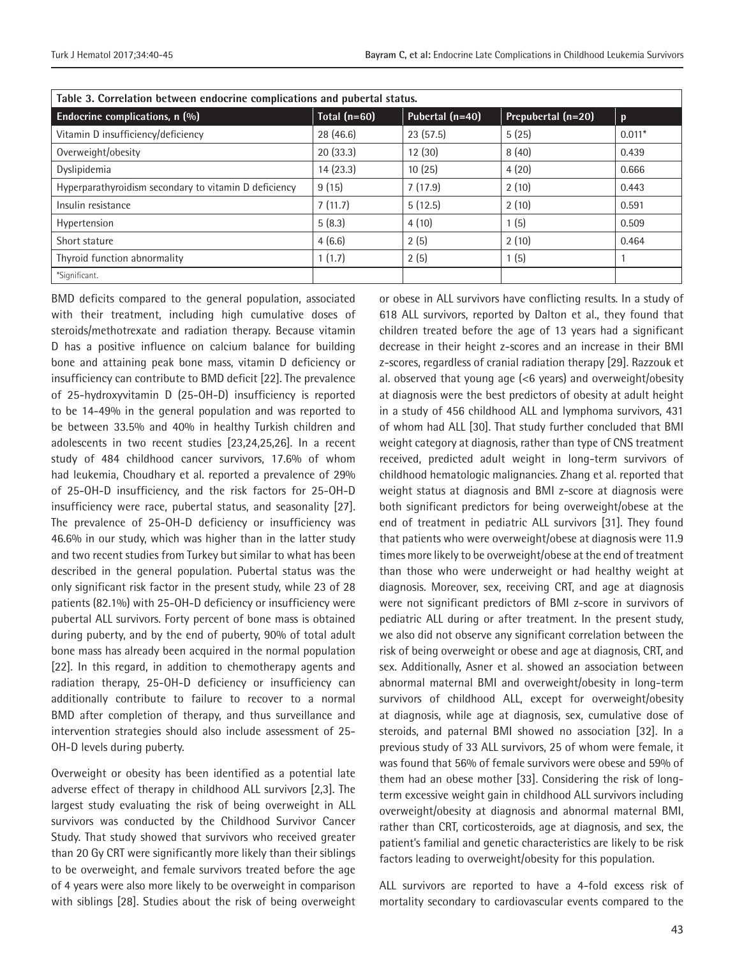| Table 3. Correlation between endocrine complications and pubertal status. |                |                 |                    |              |  |
|---------------------------------------------------------------------------|----------------|-----------------|--------------------|--------------|--|
| Endocrine complications, n (%)                                            | Total $(n=60)$ | Pubertal (n=40) | Prepubertal (n=20) | $\mathbf{p}$ |  |
| Vitamin D insufficiency/deficiency                                        | 28 (46.6)      | 23(57.5)        | 5(25)              | $0.011*$     |  |
| Overweight/obesity                                                        | 20(33.3)       | 12(30)          | 8(40)              | 0.439        |  |
| Dyslipidemia                                                              | 14(23.3)       | 10(25)          | 4(20)              | 0.666        |  |
| Hyperparathyroidism secondary to vitamin D deficiency                     | 9(15)          | 7(17.9)         | 2(10)              | 0.443        |  |
| Insulin resistance                                                        | 7(11.7)        | 5(12.5)         | 2(10)              | 0.591        |  |
| Hypertension                                                              | 5(8.3)         | 4(10)           | 1(5)               | 0.509        |  |
| Short stature                                                             | 4(6.6)         | 2(5)            | 2(10)              | 0.464        |  |
| Thyroid function abnormality                                              | 1(1.7)         | 2(5)            | 1(5)               |              |  |
| *Significant.                                                             |                |                 |                    |              |  |

BMD deficits compared to the general population, associated with their treatment, including high cumulative doses of steroids/methotrexate and radiation therapy. Because vitamin D has a positive influence on calcium balance for building bone and attaining peak bone mass, vitamin D deficiency or insufficiency can contribute to BMD deficit [22]. The prevalence of 25-hydroxyvitamin D (25-OH-D) insufficiency is reported to be 14-49% in the general population and was reported to be between 33.5% and 40% in healthy Turkish children and adolescents in two recent studies [23,24,25,26]. In a recent study of 484 childhood cancer survivors, 17.6% of whom had leukemia, Choudhary et al. reported a prevalence of 29% of 25-OH-D insufficiency, and the risk factors for 25-OH-D insufficiency were race, pubertal status, and seasonality [27]. The prevalence of 25-OH-D deficiency or insufficiency was 46.6% in our study, which was higher than in the latter study and two recent studies from Turkey but similar to what has been described in the general population. Pubertal status was the only significant risk factor in the present study, while 23 of 28 patients (82.1%) with 25-OH-D deficiency or insufficiency were pubertal ALL survivors. Forty percent of bone mass is obtained during puberty, and by the end of puberty, 90% of total adult bone mass has already been acquired in the normal population [22]. In this regard, in addition to chemotherapy agents and radiation therapy, 25-OH-D deficiency or insufficiency can additionally contribute to failure to recover to a normal BMD after completion of therapy, and thus surveillance and intervention strategies should also include assessment of 25- OH-D levels during puberty.

Overweight or obesity has been identified as a potential late adverse effect of therapy in childhood ALL survivors [2,3]. The largest study evaluating the risk of being overweight in ALL survivors was conducted by the Childhood Survivor Cancer Study. That study showed that survivors who received greater than 20 Gy CRT were significantly more likely than their siblings to be overweight, and female survivors treated before the age of 4 years were also more likely to be overweight in comparison with siblings [28]. Studies about the risk of being overweight

or obese in ALL survivors have conflicting results. In a study of 618 ALL survivors, reported by Dalton et al., they found that children treated before the age of 13 years had a significant decrease in their height z-scores and an increase in their BMI z-scores, regardless of cranial radiation therapy [29]. Razzouk et al. observed that young age (<6 years) and overweight/obesity at diagnosis were the best predictors of obesity at adult height in a study of 456 childhood ALL and lymphoma survivors, 431 of whom had ALL [30]. That study further concluded that BMI weight category at diagnosis, rather than type of CNS treatment received, predicted adult weight in long-term survivors of childhood hematologic malignancies. Zhang et al. reported that weight status at diagnosis and BMI z-score at diagnosis were both significant predictors for being overweight/obese at the end of treatment in pediatric ALL survivors [31]. They found that patients who were overweight/obese at diagnosis were 11.9 times more likely to be overweight/obese at the end of treatment than those who were underweight or had healthy weight at diagnosis. Moreover, sex, receiving CRT, and age at diagnosis were not significant predictors of BMI z-score in survivors of pediatric ALL during or after treatment. In the present study, we also did not observe any significant correlation between the risk of being overweight or obese and age at diagnosis, CRT, and sex. Additionally, Asner et al. showed an association between abnormal maternal BMI and overweight/obesity in long-term survivors of childhood ALL, except for overweight/obesity at diagnosis, while age at diagnosis, sex, cumulative dose of steroids, and paternal BMI showed no association [32]. In a previous study of 33 ALL survivors, 25 of whom were female, it was found that 56% of female survivors were obese and 59% of them had an obese mother [33]. Considering the risk of longterm excessive weight gain in childhood ALL survivors including overweight/obesity at diagnosis and abnormal maternal BMI, rather than CRT, corticosteroids, age at diagnosis, and sex, the patient's familial and genetic characteristics are likely to be risk factors leading to overweight/obesity for this population.

ALL survivors are reported to have a 4-fold excess risk of mortality secondary to cardiovascular events compared to the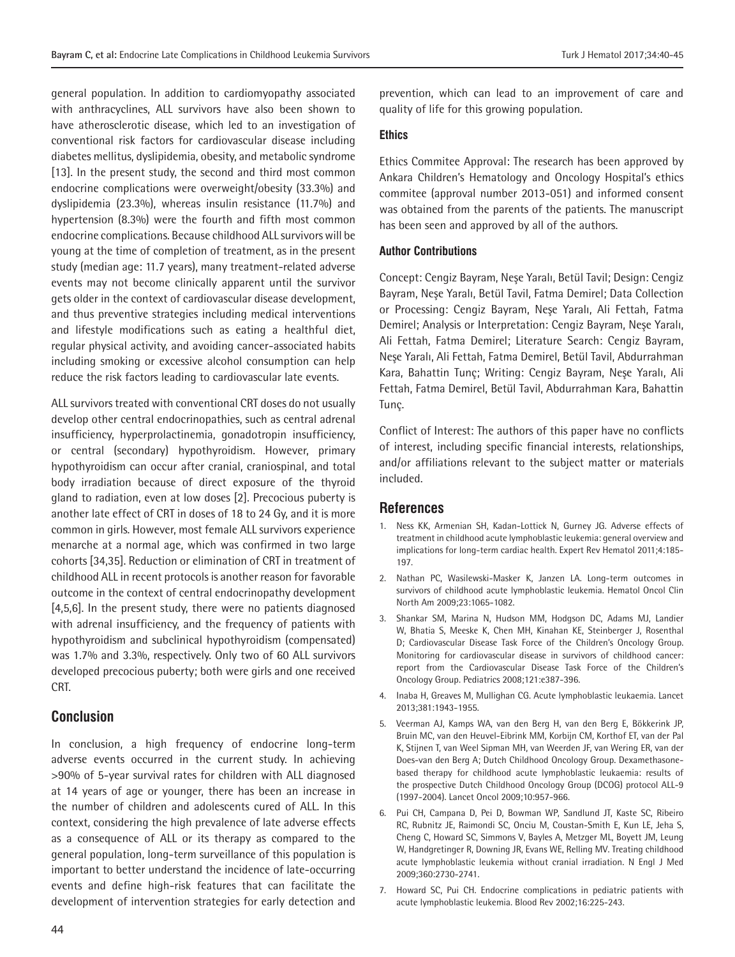general population. In addition to cardiomyopathy associated with anthracyclines, ALL survivors have also been shown to have atherosclerotic disease, which led to an investigation of conventional risk factors for cardiovascular disease including diabetes mellitus, dyslipidemia, obesity, and metabolic syndrome [13]. In the present study, the second and third most common endocrine complications were overweight/obesity (33.3%) and dyslipidemia (23.3%), whereas insulin resistance (11.7%) and hypertension (8.3%) were the fourth and fifth most common endocrine complications. Because childhood ALL survivors will be young at the time of completion of treatment, as in the present study (median age: 11.7 years), many treatment-related adverse events may not become clinically apparent until the survivor gets older in the context of cardiovascular disease development, and thus preventive strategies including medical interventions and lifestyle modifications such as eating a healthful diet, regular physical activity, and avoiding cancer-associated habits including smoking or excessive alcohol consumption can help reduce the risk factors leading to cardiovascular late events.

ALL survivors treated with conventional CRT doses do not usually develop other central endocrinopathies, such as central adrenal insufficiency, hyperprolactinemia, gonadotropin insufficiency, or central (secondary) hypothyroidism. However, primary hypothyroidism can occur after cranial, craniospinal, and total body irradiation because of direct exposure of the thyroid gland to radiation, even at low doses [2]. Precocious puberty is another late effect of CRT in doses of 18 to 24 Gy, and it is more common in girls. However, most female ALL survivors experience menarche at a normal age, which was confirmed in two large cohorts [34,35]. Reduction or elimination of CRT in treatment of childhood ALL in recent protocols is another reason for favorable outcome in the context of central endocrinopathy development [4,5,6]. In the present study, there were no patients diagnosed with adrenal insufficiency, and the frequency of patients with hypothyroidism and subclinical hypothyroidism (compensated) was 1.7% and 3.3%, respectively. Only two of 60 ALL survivors developed precocious puberty; both were girls and one received CRT.

#### **Conclusion**

In conclusion, a high frequency of endocrine long-term adverse events occurred in the current study. In achieving >90% of 5-year survival rates for children with ALL diagnosed at 14 years of age or younger, there has been an increase in the number of children and adolescents cured of ALL. In this context, considering the high prevalence of late adverse effects as a consequence of ALL or its therapy as compared to the general population, long-term surveillance of this population is important to better understand the incidence of late-occurring events and define high-risk features that can facilitate the development of intervention strategies for early detection and

prevention, which can lead to an improvement of care and quality of life for this growing population.

#### **Ethics**

Ethics Commitee Approval: The research has been approved by Ankara Children's Hematology and Oncology Hospital's ethics commitee (approval number 2013-051) and informed consent was obtained from the parents of the patients. The manuscript has been seen and approved by all of the authors.

#### **Author Contributions**

Concept: Cengiz Bayram, Neşe Yaralı, Betül Tavil; Design: Cengiz Bayram, Neşe Yaralı, Betül Tavil, Fatma Demirel; Data Collection or Processing: Cengiz Bayram, Neşe Yaralı, Ali Fettah, Fatma Demirel; Analysis or Interpretation: Cengiz Bayram, Neşe Yaralı, Ali Fettah, Fatma Demirel; Literature Search: Cengiz Bayram, Neşe Yaralı, Ali Fettah, Fatma Demirel, Betül Tavil, Abdurrahman Kara, Bahattin Tunç; Writing: Cengiz Bayram, Neşe Yaralı, Ali Fettah, Fatma Demirel, Betül Tavil, Abdurrahman Kara, Bahattin Tunç.

Conflict of Interest: The authors of this paper have no conflicts of interest, including specific financial interests, relationships, and/or affiliations relevant to the subject matter or materials included.

#### **References**

- 1. Ness KK, Armenian SH, Kadan-Lottick N, Gurney JG. Adverse effects of treatment in childhood acute lymphoblastic leukemia: general overview and implications for long-term cardiac health. Expert Rev Hematol 2011;4:185- 197.
- 2. Nathan PC, Wasilewski-Masker K, Janzen LA. Long-term outcomes in survivors of childhood acute lymphoblastic leukemia. Hematol Oncol Clin North Am 2009;23:1065-1082.
- 3. Shankar SM, Marina N, Hudson MM, Hodgson DC, Adams MJ, Landier W, Bhatia S, Meeske K, Chen MH, Kinahan KE, Steinberger J, Rosenthal D; Cardiovascular Disease Task Force of the Children's Oncology Group. Monitoring for cardiovascular disease in survivors of childhood cancer: report from the Cardiovascular Disease Task Force of the Children's Oncology Group. Pediatrics 2008;121:e387-396.
- 4. Inaba H, Greaves M, Mullighan CG. Acute lymphoblastic leukaemia. Lancet 2013;381:1943-1955.
- 5. Veerman AJ, Kamps WA, van den Berg H, van den Berg E, Bökkerink JP, Bruin MC, van den Heuvel-Eibrink MM, Korbijn CM, Korthof ET, van der Pal K, Stijnen T, van Weel Sipman MH, van Weerden JF, van Wering ER, van der Does-van den Berg A; Dutch Childhood Oncology Group. Dexamethasonebased therapy for childhood acute lymphoblastic leukaemia: results of the prospective Dutch Childhood Oncology Group (DCOG) protocol ALL-9 (1997-2004). Lancet Oncol 2009;10:957-966.
- 6. Pui CH, Campana D, Pei D, Bowman WP, Sandlund JT, Kaste SC, Ribeiro RC, Rubnitz JE, Raimondi SC, Onciu M, Coustan-Smith E, Kun LE, Jeha S, Cheng C, Howard SC, Simmons V, Bayles A, Metzger ML, Boyett JM, Leung W, Handgretinger R, Downing JR, Evans WE, Relling MV. Treating childhood acute lymphoblastic leukemia without cranial irradiation. N Engl J Med 2009;360:2730-2741.
- 7. Howard SC, Pui CH. Endocrine complications in pediatric patients with acute lymphoblastic leukemia. Blood Rev 2002;16:225-243.